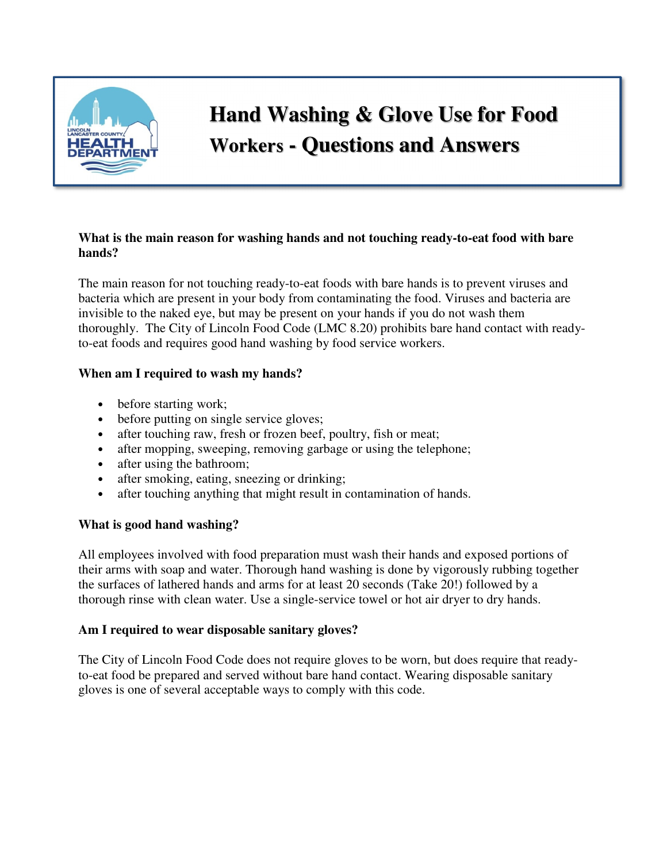

# **Hand Washing & Glove Use for Food Workers - Questions and Answers**

#### **What is the main reason for washing hands and not touching ready-to-eat food with bare hands?**

The main reason for not touching ready-to-eat foods with bare hands is to prevent viruses and bacteria which are present in your body from contaminating the food. Viruses and bacteria are invisible to the naked eye, but may be present on your hands if you do not wash them thoroughly. The City of Lincoln Food Code (LMC 8.20) prohibits bare hand contact with readyto-eat foods and requires good hand washing by food service workers.

# **When am I required to wash my hands?**

- before starting work;
- before putting on single service gloves;
- after touching raw, fresh or frozen beef, poultry, fish or meat;
- after mopping, sweeping, removing garbage or using the telephone;
- after using the bathroom;
- after smoking, eating, sneezing or drinking;
- after touching anything that might result in contamination of hands.

# **What is good hand washing?**

All employees involved with food preparation must wash their hands and exposed portions of their arms with soap and water. Thorough hand washing is done by vigorously rubbing together the surfaces of lathered hands and arms for at least 20 seconds (Take 20!) followed by a thorough rinse with clean water. Use a single-service towel or hot air dryer to dry hands.

# **Am I required to wear disposable sanitary gloves?**

The City of Lincoln Food Code does not require gloves to be worn, but does require that readyto-eat food be prepared and served without bare hand contact. Wearing disposable sanitary gloves is one of several acceptable ways to comply with this code.